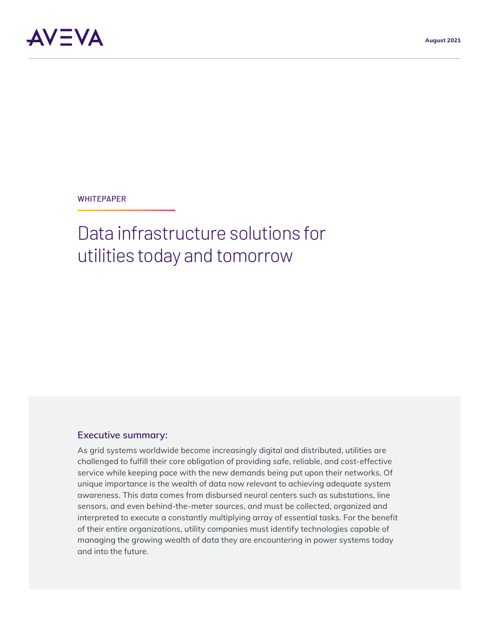

#### **WHITEPAPER**

# Data infrastructure solutions for utilities today and tomorrow

#### **Executive summary:**

As grid systems worldwide become increasingly digital and distributed, utilities are challenged to fulfill their core obligation of providing safe, reliable, and cost-effective service while keeping pace with the new demands being put upon their networks. Of unique importance is the wealth of data now relevant to achieving adequate system awareness. This data comes from disbursed neural centers such as substations, line sensors, and even behind-the-meter sources, and must be collected, organized and interpreted to execute a constantly multiplying array of essential tasks. For the benefit of their entire organizations, utility companies must identify technologies capable of managing the growing wealth of data they are encountering in power systems today and into the future.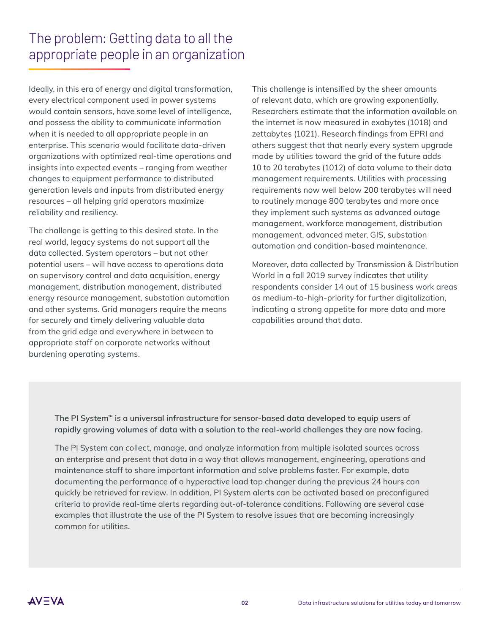# The problem: Getting data to all the appropriate people in an organization

Ideally, in this era of energy and digital transformation, every electrical component used in power systems would contain sensors, have some level of intelligence, and possess the ability to communicate information when it is needed to all appropriate people in an enterprise. This scenario would facilitate data-driven organizations with optimized real-time operations and insights into expected events – ranging from weather changes to equipment performance to distributed generation levels and inputs from distributed energy resources – all helping grid operators maximize reliability and resiliency.

The challenge is getting to this desired state. In the real world, legacy systems do not support all the data collected. System operators – but not other potential users – will have access to operations data on supervisory control and data acquisition, energy management, distribution management, distributed energy resource management, substation automation and other systems. Grid managers require the means for securely and timely delivering valuable data from the grid edge and everywhere in between to appropriate staff on corporate networks without burdening operating systems.

This challenge is intensified by the sheer amounts of relevant data, which are growing exponentially. Researchers estimate that the information available on the internet is now measured in exabytes (1018) and zettabytes (1021). Research findings from EPRI and others suggest that that nearly every system upgrade made by utilities toward the grid of the future adds 10 to 20 terabytes (1012) of data volume to their data management requirements. Utilities with processing requirements now well below 200 terabytes will need to routinely manage 800 terabytes and more once they implement such systems as advanced outage management, workforce management, distribution management, advanced meter, GIS, substation automation and condition-based maintenance.

Moreover, data collected by Transmission & Distribution World in a fall 2019 survey indicates that utility respondents consider 14 out of 15 business work areas as medium-to-high-priority for further digitalization, indicating a strong appetite for more data and more capabilities around that data.

**The PI System™ is a universal infrastructure for sensor-based data developed to equip users of rapidly growing volumes of data with a solution to the real-world challenges they are now facing.** 

The PI System can collect, manage, and analyze information from multiple isolated sources across an enterprise and present that data in a way that allows management, engineering, operations and maintenance staff to share important information and solve problems faster. For example, data documenting the performance of a hyperactive load tap changer during the previous 24 hours can quickly be retrieved for review. In addition, PI System alerts can be activated based on preconfigured criteria to provide real-time alerts regarding out-of-tolerance conditions. Following are several case examples that illustrate the use of the PI System to resolve issues that are becoming increasingly common for utilities.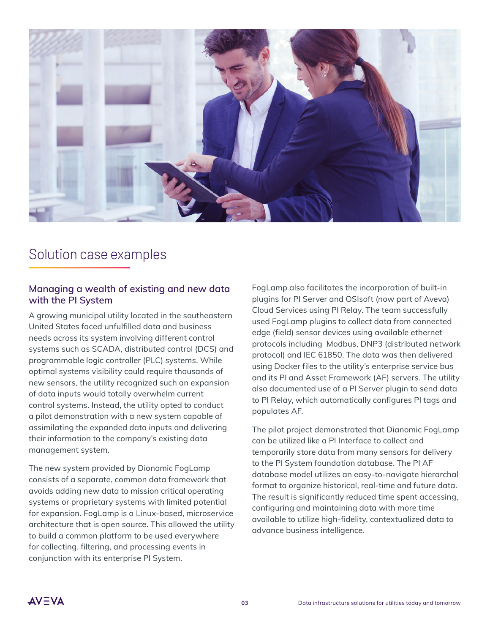

### Solution case examples

#### **Managing a wealth of existing and new data with the PI System**

A growing municipal utility located in the southeastern United States faced unfulfilled data and business needs across its system involving different control systems such as SCADA, distributed control (DCS) and programmable logic controller (PLC) systems. While optimal systems visibility could require thousands of new sensors, the utility recognized such an expansion of data inputs would totally overwhelm current control systems. Instead, the utility opted to conduct a pilot demonstration with a new system capable of assimilating the expanded data inputs and delivering their information to the company's existing data management system.

The new system provided by Dionomic FogLamp consists of a separate, common data framework that avoids adding new data to mission critical operating systems or proprietary systems with limited potential for expansion. FogLamp is a Linux-based, microservice architecture that is open source. This allowed the utility to build a common platform to be used everywhere for collecting, filtering, and processing events in conjunction with its enterprise PI System.

FogLamp also facilitates the incorporation of built-in plugins for PI Server and OSIsoft (now part of Aveva) Cloud Services using PI Relay. The team successfully used FogLamp plugins to collect data from connected edge (field) sensor devices using available ethernet protocols including Modbus, DNP3 (distributed network protocol) and IEC 61850. The data was then delivered using Docker files to the utility's enterprise service bus and its PI and Asset Framework (AF) servers. The utility also documented use of a PI Server plugin to send data to PI Relay, which automatically configures PI tags and populates AF.

The pilot project demonstrated that Dianomic FogLamp can be utilized like a PI Interface to collect and temporarily store data from many sensors for delivery to the PI System foundation database. The PI AF database model utilizes an easy-to-navigate hierarchal format to organize historical, real-time and future data. The result is significantly reduced time spent accessing, configuring and maintaining data with more time available to utilize high-fidelity, contextualized data to advance business intelligence.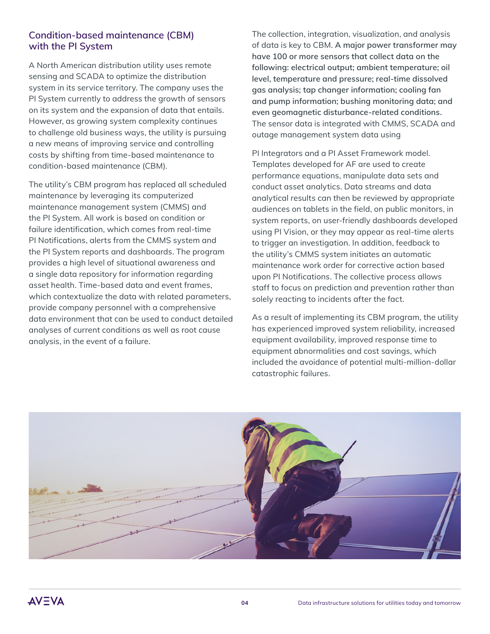### **Condition-based maintenance (CBM) with the PI System**

A North American distribution utility uses remote sensing and SCADA to optimize the distribution system in its service territory. The company uses the PI System currently to address the growth of sensors on its system and the expansion of data that entails. However, as growing system complexity continues to challenge old business ways, the utility is pursuing a new means of improving service and controlling costs by shifting from time-based maintenance to condition-based maintenance (CBM).

The utility's CBM program has replaced all scheduled maintenance by leveraging its computerized maintenance management system (CMMS) and the PI System. All work is based on condition or failure identification, which comes from real-time PI Notifications, alerts from the CMMS system and the PI System reports and dashboards. The program provides a high level of situational awareness and a single data repository for information regarding asset health. Time-based data and event frames, which contextualize the data with related parameters, provide company personnel with a comprehensive data environment that can be used to conduct detailed analyses of current conditions as well as root cause analysis, in the event of a failure.

The collection, integration, visualization, and analysis of data is key to CBM. **A major power transformer may have 100 or more sensors that collect data on the following: electrical output; ambient temperature; oil level, temperature and pressure; real-time dissolved gas analysis; tap changer information; cooling fan and pump information; bushing monitoring data; and even geomagnetic disturbance-related conditions.**  The sensor data is integrated with CMMS, SCADA and outage management system data using

PI Integrators and a PI Asset Framework model. Templates developed for AF are used to create performance equations, manipulate data sets and conduct asset analytics. Data streams and data analytical results can then be reviewed by appropriate audiences on tablets in the field, on public monitors, in system reports, on user-friendly dashboards developed using PI Vision, or they may appear as real-time alerts to trigger an investigation. In addition, feedback to the utility's CMMS system initiates an automatic maintenance work order for corrective action based upon PI Notifications. The collective process allows staff to focus on prediction and prevention rather than solely reacting to incidents after the fact.

As a result of implementing its CBM program, the utility has experienced improved system reliability, increased equipment availability, improved response time to equipment abnormalities and cost savings, which included the avoidance of potential multi-million-dollar catastrophic failures.

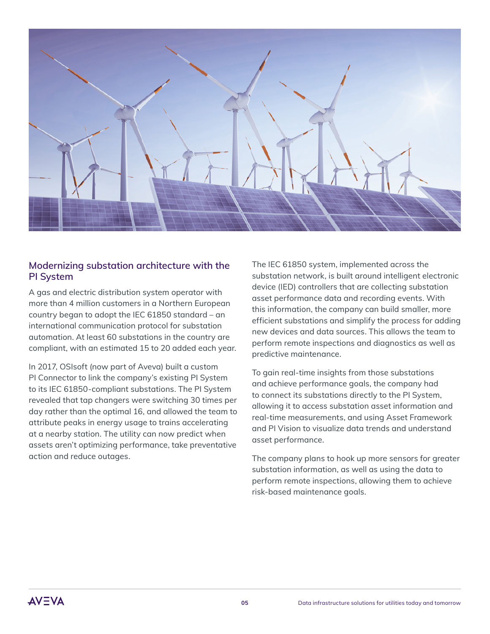

#### **Modernizing substation architecture with the PI System**

A gas and electric distribution system operator with more than 4 million customers in a Northern European country began to adopt the IEC 61850 standard – an international communication protocol for substation automation. At least 60 substations in the country are compliant, with an estimated 15 to 20 added each year.

In 2017, OSIsoft (now part of Aveva) built a custom PI Connector to link the company's existing PI System to its IEC 61850-compliant substations. The PI System revealed that tap changers were switching 30 times per day rather than the optimal 16, and allowed the team to attribute peaks in energy usage to trains accelerating at a nearby station. The utility can now predict when assets aren't optimizing performance, take preventative action and reduce outages.

The IEC 61850 system, implemented across the substation network, is built around intelligent electronic device (IED) controllers that are collecting substation asset performance data and recording events. With this information, the company can build smaller, more efficient substations and simplify the process for adding new devices and data sources. This allows the team to perform remote inspections and diagnostics as well as predictive maintenance.

To gain real-time insights from those substations and achieve performance goals, the company had to connect its substations directly to the PI System, allowing it to access substation asset information and real-time measurements, and using Asset Framework and PI Vision to visualize data trends and understand asset performance.

The company plans to hook up more sensors for greater substation information, as well as using the data to perform remote inspections, allowing them to achieve risk-based maintenance goals.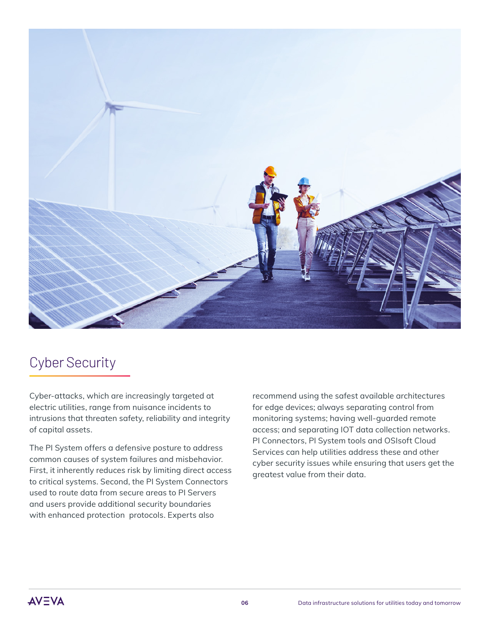

### Cyber Security

Cyber-attacks, which are increasingly targeted at electric utilities, range from nuisance incidents to intrusions that threaten safety, reliability and integrity of capital assets.

The PI System offers a defensive posture to address common causes of system failures and misbehavior. First, it inherently reduces risk by limiting direct access to critical systems. Second, the PI System Connectors used to route data from secure areas to PI Servers and users provide additional security boundaries with enhanced protection protocols. Experts also

recommend using the safest available architectures for edge devices; always separating control from monitoring systems; having well-guarded remote access; and separating IOT data collection networks. PI Connectors, PI System tools and OSIsoft Cloud Services can help utilities address these and other cyber security issues while ensuring that users get the greatest value from their data.